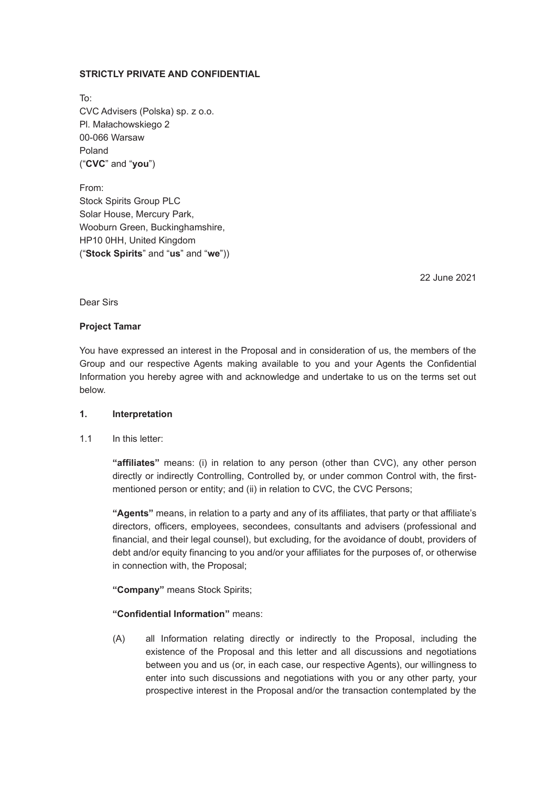## **STRICTLY PRIVATE AND CONFIDENTIAL**

To: CVC Advisers (Polska) sp. z o.o. Pl. Małachowskiego 2 00-066 Warsaw Poland ("**CVC**" and "**you**")

From: Stock Spirits Group PLC Solar House, Mercury Park, Wooburn Green, Buckinghamshire, HP10 0HH, United Kingdom ("**Stock Spirits**" and "**us**" and "**we**"))

22 June 2021

Dear Sirs

## **Project Tamar**

You have expressed an interest in the Proposal and in consideration of us, the members of the Group and our respective Agents making available to you and your Agents the Confidential Information you hereby agree with and acknowledge and undertake to us on the terms set out below.

## **1. Interpretation**

1.1 In this letter:

**"affiliates"** means: (i) in relation to any person (other than CVC), any other person directly or indirectly Controlling, Controlled by, or under common Control with, the firstmentioned person or entity; and (ii) in relation to CVC, the CVC Persons;

**"Agents"** means, in relation to a party and any of its affiliates, that party or that affiliate's directors, officers, employees, secondees, consultants and advisers (professional and financial, and their legal counsel), but excluding, for the avoidance of doubt, providers of debt and/or equity financing to you and/or your affiliates for the purposes of, or otherwise in connection with, the Proposal;

**"Company"** means Stock Spirits;

## **"Confidential Information"** means:

(A) all Information relating directly or indirectly to the Proposal, including the existence of the Proposal and this letter and all discussions and negotiations between you and us (or, in each case, our respective Agents), our willingness to enter into such discussions and negotiations with you or any other party, your prospective interest in the Proposal and/or the transaction contemplated by the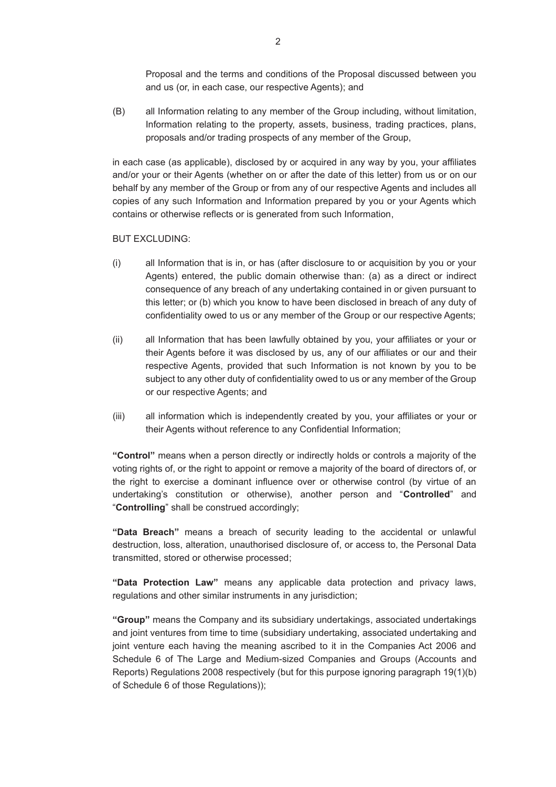Proposal and the terms and conditions of the Proposal discussed between you and us (or, in each case, our respective Agents); and

(B) all Information relating to any member of the Group including, without limitation, Information relating to the property, assets, business, trading practices, plans, proposals and/or trading prospects of any member of the Group,

in each case (as applicable), disclosed by or acquired in any way by you, your affiliates and/or your or their Agents (whether on or after the date of this letter) from us or on our behalf by any member of the Group or from any of our respective Agents and includes all copies of any such Information and Information prepared by you or your Agents which contains or otherwise reflects or is generated from such Information,

#### BUT EXCLUDING:

- (i) all Information that is in, or has (after disclosure to or acquisition by you or your Agents) entered, the public domain otherwise than: (a) as a direct or indirect consequence of any breach of any undertaking contained in or given pursuant to this letter; or (b) which you know to have been disclosed in breach of any duty of confidentiality owed to us or any member of the Group or our respective Agents;
- (ii) all Information that has been lawfully obtained by you, your affiliates or your or their Agents before it was disclosed by us, any of our affiliates or our and their respective Agents, provided that such Information is not known by you to be subject to any other duty of confidentiality owed to us or any member of the Group or our respective Agents; and
- (iii) all information which is independently created by you, your affiliates or your or their Agents without reference to any Confidential Information;

**"Control"** means when a person directly or indirectly holds or controls a majority of the voting rights of, or the right to appoint or remove a majority of the board of directors of, or the right to exercise a dominant influence over or otherwise control (by virtue of an undertaking's constitution or otherwise), another person and "**Controlled**" and "**Controlling**" shall be construed accordingly;

**"Data Breach"** means a breach of security leading to the accidental or unlawful destruction, loss, alteration, unauthorised disclosure of, or access to, the Personal Data transmitted, stored or otherwise processed;

**"Data Protection Law"** means any applicable data protection and privacy laws, regulations and other similar instruments in any jurisdiction;

**"Group"** means the Company and its subsidiary undertakings, associated undertakings and joint ventures from time to time (subsidiary undertaking, associated undertaking and joint venture each having the meaning ascribed to it in the Companies Act 2006 and Schedule 6 of The Large and Medium-sized Companies and Groups (Accounts and Reports) Regulations 2008 respectively (but for this purpose ignoring paragraph 19(1)(b) of Schedule 6 of those Regulations));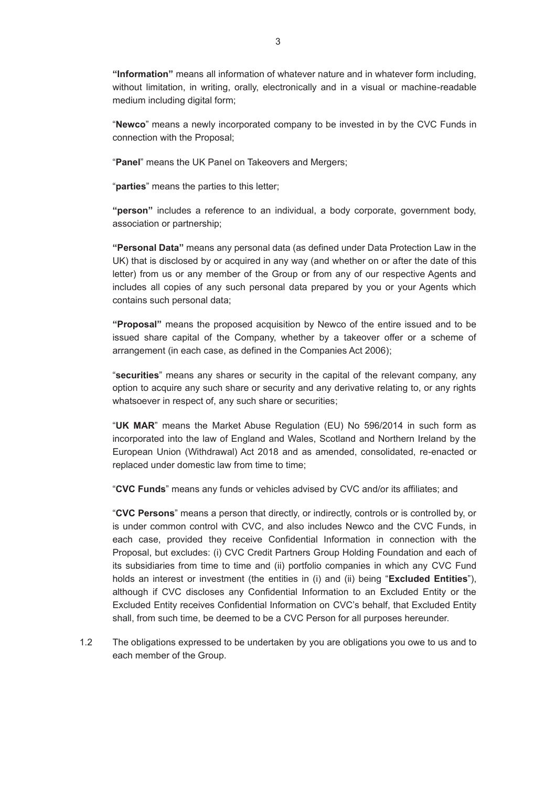**"Information"** means all information of whatever nature and in whatever form including, without limitation, in writing, orally, electronically and in a visual or machine-readable medium including digital form;

"**Newco**" means a newly incorporated company to be invested in by the CVC Funds in connection with the Proposal;

"**Panel**" means the UK Panel on Takeovers and Mergers;

"**parties**" means the parties to this letter;

**"person"** includes a reference to an individual, a body corporate, government body, association or partnership;

**"Personal Data"** means any personal data (as defined under Data Protection Law in the UK) that is disclosed by or acquired in any way (and whether on or after the date of this letter) from us or any member of the Group or from any of our respective Agents and includes all copies of any such personal data prepared by you or your Agents which contains such personal data;

**"Proposal"** means the proposed acquisition by Newco of the entire issued and to be issued share capital of the Company, whether by a takeover offer or a scheme of arrangement (in each case, as defined in the Companies Act 2006);

"**securities**" means any shares or security in the capital of the relevant company, any option to acquire any such share or security and any derivative relating to, or any rights whatsoever in respect of, any such share or securities;

"**UK MAR**" means the Market Abuse Regulation (EU) No 596/2014 in such form as incorporated into the law of England and Wales, Scotland and Northern Ireland by the European Union (Withdrawal) Act 2018 and as amended, consolidated, re-enacted or replaced under domestic law from time to time;

"**CVC Funds**" means any funds or vehicles advised by CVC and/or its affiliates; and

"**CVC Persons**" means a person that directly, or indirectly, controls or is controlled by, or is under common control with CVC, and also includes Newco and the CVC Funds, in each case, provided they receive Confidential Information in connection with the Proposal, but excludes: (i) CVC Credit Partners Group Holding Foundation and each of its subsidiaries from time to time and (ii) portfolio companies in which any CVC Fund holds an interest or investment (the entities in (i) and (ii) being "**Excluded Entities**"), although if CVC discloses any Confidential Information to an Excluded Entity or the Excluded Entity receives Confidential Information on CVC's behalf, that Excluded Entity shall, from such time, be deemed to be a CVC Person for all purposes hereunder.

1.2 The obligations expressed to be undertaken by you are obligations you owe to us and to each member of the Group.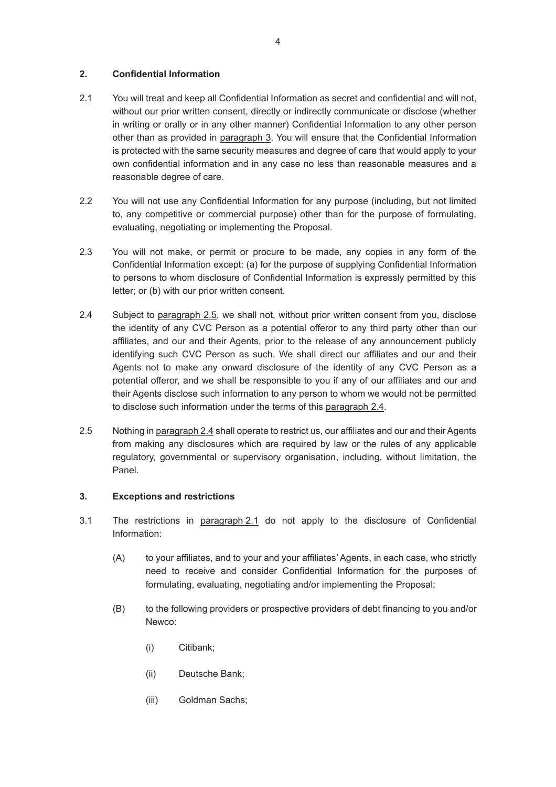## **2. Confidential Information**

- 2.1 You will treat and keep all Confidential Information as secret and confidential and will not, without our prior written consent, directly or indirectly communicate or disclose (whether in writing or orally or in any other manner) Confidential Information to any other person other than as provided in paragraph 3. You will ensure that the Confidential Information is protected with the same security measures and degree of care that would apply to your own confidential information and in any case no less than reasonable measures and a reasonable degree of care.
- 2.2 You will not use any Confidential Information for any purpose (including, but not limited to, any competitive or commercial purpose) other than for the purpose of formulating, evaluating, negotiating or implementing the Proposal.
- 2.3 You will not make, or permit or procure to be made, any copies in any form of the Confidential Information except: (a) for the purpose of supplying Confidential Information to persons to whom disclosure of Confidential Information is expressly permitted by this letter; or (b) with our prior written consent.
- 2.4 Subject to paragraph 2.5, we shall not, without prior written consent from you, disclose the identity of any CVC Person as a potential offeror to any third party other than our affiliates, and our and their Agents, prior to the release of any announcement publicly identifying such CVC Person as such. We shall direct our affiliates and our and their Agents not to make any onward disclosure of the identity of any CVC Person as a potential offeror, and we shall be responsible to you if any of our affiliates and our and their Agents disclose such information to any person to whom we would not be permitted to disclose such information under the terms of this paragraph 2.4.
- 2.5 Nothing in paragraph 2.4 shall operate to restrict us, our affiliates and our and their Agents from making any disclosures which are required by law or the rules of any applicable regulatory, governmental or supervisory organisation, including, without limitation, the Panel.

## **3. Exceptions and restrictions**

- 3.1 The restrictions in paragraph 2.1 do not apply to the disclosure of Confidential Information:
	- (A) to your affiliates, and to your and your affiliates' Agents, in each case, who strictly need to receive and consider Confidential Information for the purposes of formulating, evaluating, negotiating and/or implementing the Proposal;
	- (B) to the following providers or prospective providers of debt financing to you and/or Newco:
		- (i) Citibank;
		- (ii) Deutsche Bank;
		- (iii) Goldman Sachs;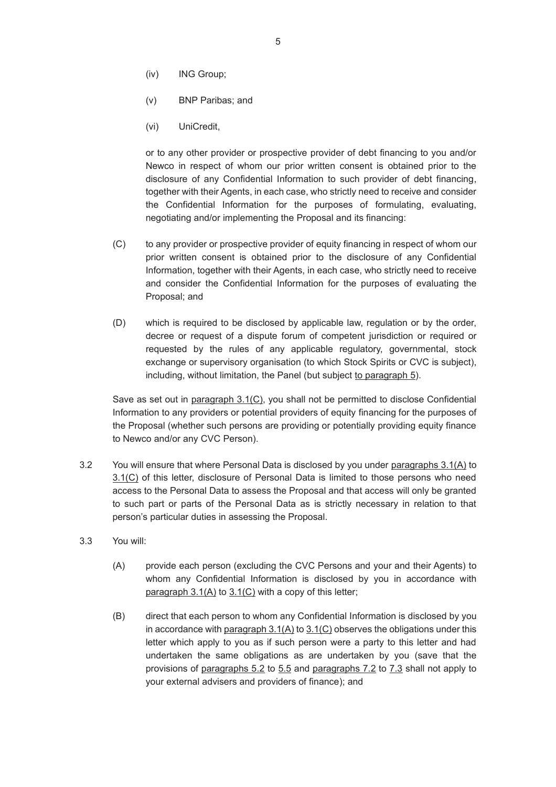- (iv) ING Group;
- (v) BNP Paribas; and
- (vi) UniCredit,

or to any other provider or prospective provider of debt financing to you and/or Newco in respect of whom our prior written consent is obtained prior to the disclosure of any Confidential Information to such provider of debt financing, together with their Agents, in each case, who strictly need to receive and consider the Confidential Information for the purposes of formulating, evaluating, negotiating and/or implementing the Proposal and its financing:

- (C) to any provider or prospective provider of equity financing in respect of whom our prior written consent is obtained prior to the disclosure of any Confidential Information, together with their Agents, in each case, who strictly need to receive and consider the Confidential Information for the purposes of evaluating the Proposal; and
- (D) which is required to be disclosed by applicable law, regulation or by the order, decree or request of a dispute forum of competent jurisdiction or required or requested by the rules of any applicable regulatory, governmental, stock exchange or supervisory organisation (to which Stock Spirits or CVC is subject), including, without limitation, the Panel (but subject to paragraph 5).

Save as set out in paragraph 3.1(C), you shall not be permitted to disclose Confidential Information to any providers or potential providers of equity financing for the purposes of the Proposal (whether such persons are providing or potentially providing equity finance to Newco and/or any CVC Person).

- 3.2 You will ensure that where Personal Data is disclosed by you under paragraphs 3.1(A) to 3.1(C) of this letter, disclosure of Personal Data is limited to those persons who need access to the Personal Data to assess the Proposal and that access will only be granted to such part or parts of the Personal Data as is strictly necessary in relation to that person's particular duties in assessing the Proposal.
- 3.3 You will:
	- (A) provide each person (excluding the CVC Persons and your and their Agents) to whom any Confidential Information is disclosed by you in accordance with paragraph  $3.1(A)$  to  $3.1(C)$  with a copy of this letter;
	- (B) direct that each person to whom any Confidential Information is disclosed by you in accordance with paragraph 3.1(A) to 3.1(C) observes the obligations under this letter which apply to you as if such person were a party to this letter and had undertaken the same obligations as are undertaken by you (save that the provisions of paragraphs 5.2 to 5.5 and paragraphs 7.2 to 7.3 shall not apply to your external advisers and providers of finance); and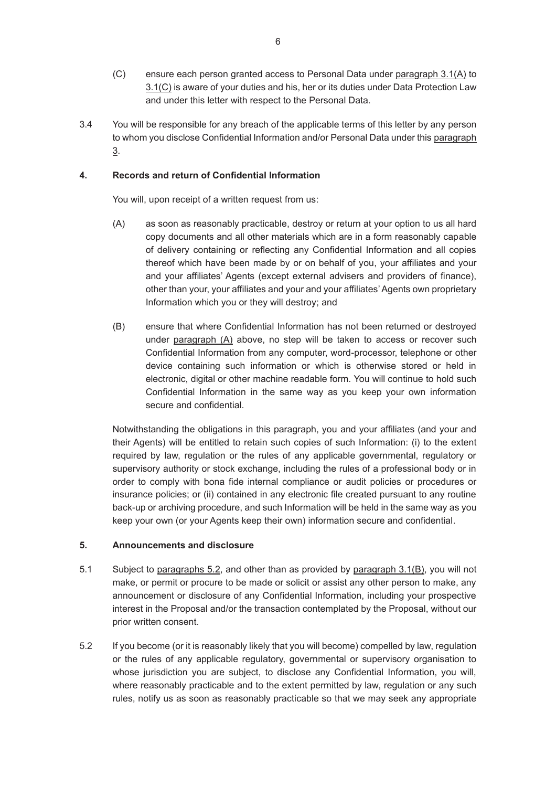- (C) ensure each person granted access to Personal Data under paragraph 3.1(A) to 3.1(C) is aware of your duties and his, her or its duties under Data Protection Law and under this letter with respect to the Personal Data.
- 3.4 You will be responsible for any breach of the applicable terms of this letter by any person to whom you disclose Confidential Information and/or Personal Data under this paragraph 3.

# **4. Records and return of Confidential Information**

You will, upon receipt of a written request from us:

- (A) as soon as reasonably practicable, destroy or return at your option to us all hard copy documents and all other materials which are in a form reasonably capable of delivery containing or reflecting any Confidential Information and all copies thereof which have been made by or on behalf of you, your affiliates and your and your affiliates' Agents (except external advisers and providers of finance), other than your, your affiliates and your and your affiliates' Agents own proprietary Information which you or they will destroy; and
- (B) ensure that where Confidential Information has not been returned or destroyed under paragraph (A) above, no step will be taken to access or recover such Confidential Information from any computer, word-processor, telephone or other device containing such information or which is otherwise stored or held in electronic, digital or other machine readable form. You will continue to hold such Confidential Information in the same way as you keep your own information secure and confidential.

Notwithstanding the obligations in this paragraph, you and your affiliates (and your and their Agents) will be entitled to retain such copies of such Information: (i) to the extent required by law, regulation or the rules of any applicable governmental, regulatory or supervisory authority or stock exchange, including the rules of a professional body or in order to comply with bona fide internal compliance or audit policies or procedures or insurance policies; or (ii) contained in any electronic file created pursuant to any routine back-up or archiving procedure, and such Information will be held in the same way as you keep your own (or your Agents keep their own) information secure and confidential.

## **5. Announcements and disclosure**

- 5.1 Subject to paragraphs 5.2, and other than as provided by paragraph 3.1(B), you will not make, or permit or procure to be made or solicit or assist any other person to make, any announcement or disclosure of any Confidential Information, including your prospective interest in the Proposal and/or the transaction contemplated by the Proposal, without our prior written consent.
- 5.2 If you become (or it is reasonably likely that you will become) compelled by law, regulation or the rules of any applicable regulatory, governmental or supervisory organisation to whose jurisdiction you are subject, to disclose any Confidential Information, you will, where reasonably practicable and to the extent permitted by law, regulation or any such rules, notify us as soon as reasonably practicable so that we may seek any appropriate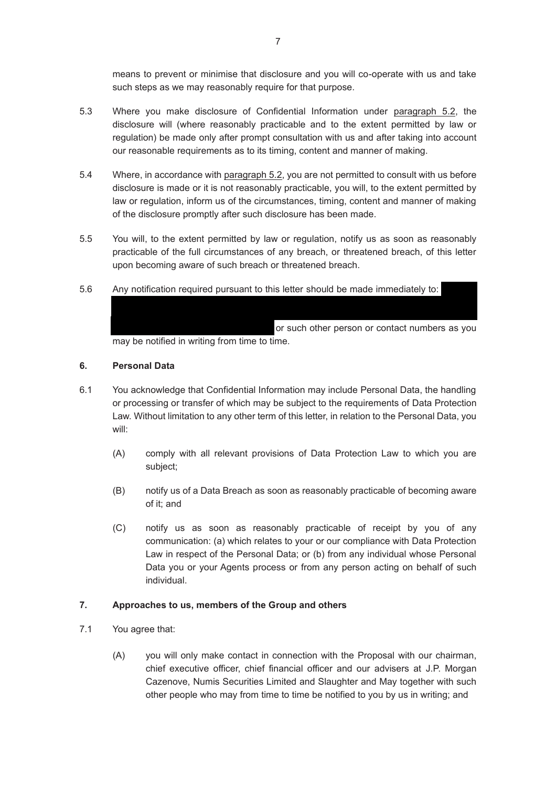means to prevent or minimise that disclosure and you will co-operate with us and take such steps as we may reasonably require for that purpose.

- 5.3 Where you make disclosure of Confidential Information under paragraph 5.2, the disclosure will (where reasonably practicable and to the extent permitted by law or regulation) be made only after prompt consultation with us and after taking into account our reasonable requirements as to its timing, content and manner of making.
- 5.4 Where, in accordance with paragraph 5.2, you are not permitted to consult with us before disclosure is made or it is not reasonably practicable, you will, to the extent permitted by law or regulation, inform us of the circumstances, timing, content and manner of making of the disclosure promptly after such disclosure has been made.
- 5.5 You will, to the extent permitted by law or regulation, notify us as soon as reasonably practicable of the full circumstances of any breach, or threatened breach, of this letter upon becoming aware of such breach or threatened breach.
- 5.6 Any notification required pursuant to this letter should be made immediately to:

or such other person or contact numbers as you may be notified in writing from time to time.

Weatherley by telephone (07593 656787) or email (steve.weatherley@stockspirts.com); and (ii) Richard Smith by telephone (07581 066449) or email

# **6. Personal Data**

- 6.1 You acknowledge that Confidential Information may include Personal Data, the handling or processing or transfer of which may be subject to the requirements of Data Protection Law. Without limitation to any other term of this letter, in relation to the Personal Data, you will:
	- (A) comply with all relevant provisions of Data Protection Law to which you are subject;
	- (B) notify us of a Data Breach as soon as reasonably practicable of becoming aware of it; and
	- (C) notify us as soon as reasonably practicable of receipt by you of any communication: (a) which relates to your or our compliance with Data Protection Law in respect of the Personal Data; or (b) from any individual whose Personal Data you or your Agents process or from any person acting on behalf of such individual.

## **7. Approaches to us, members of the Group and others**

- 7.1 You agree that:
	- (A) you will only make contact in connection with the Proposal with our chairman, chief executive officer, chief financial officer and our advisers at J.P. Morgan Cazenove, Numis Securities Limited and Slaughter and May together with such other people who may from time to time be notified to you by us in writing; and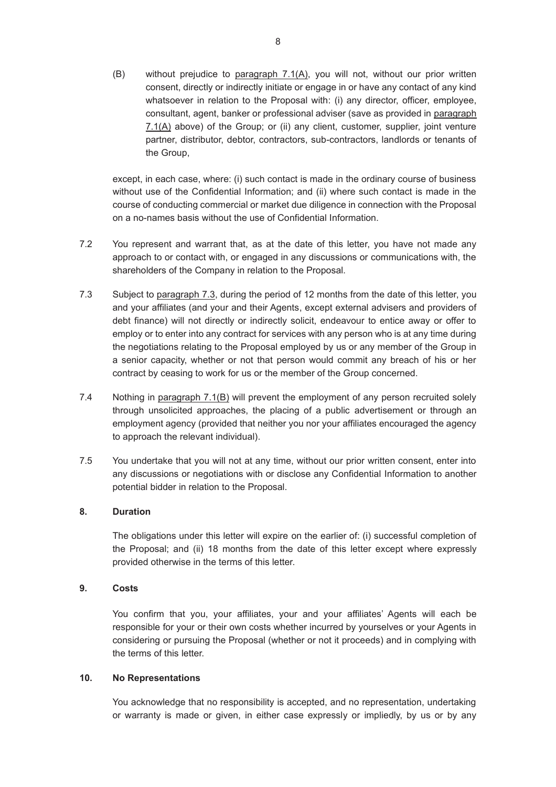(B) without prejudice to paragraph 7.1(A), you will not, without our prior written consent, directly or indirectly initiate or engage in or have any contact of any kind whatsoever in relation to the Proposal with: (i) any director, officer, employee, consultant, agent, banker or professional adviser (save as provided in paragraph 7.1(A) above) of the Group; or (ii) any client, customer, supplier, joint venture partner, distributor, debtor, contractors, sub-contractors, landlords or tenants of the Group,

except, in each case, where: (i) such contact is made in the ordinary course of business without use of the Confidential Information; and (ii) where such contact is made in the course of conducting commercial or market due diligence in connection with the Proposal on a no-names basis without the use of Confidential Information.

- 7.2 You represent and warrant that, as at the date of this letter, you have not made any approach to or contact with, or engaged in any discussions or communications with, the shareholders of the Company in relation to the Proposal.
- 7.3 Subject to paragraph 7.3, during the period of 12 months from the date of this letter, you and your affiliates (and your and their Agents, except external advisers and providers of debt finance) will not directly or indirectly solicit, endeavour to entice away or offer to employ or to enter into any contract for services with any person who is at any time during the negotiations relating to the Proposal employed by us or any member of the Group in a senior capacity, whether or not that person would commit any breach of his or her contract by ceasing to work for us or the member of the Group concerned.
- 7.4 Nothing in paragraph 7.1(B) will prevent the employment of any person recruited solely through unsolicited approaches, the placing of a public advertisement or through an employment agency (provided that neither you nor your affiliates encouraged the agency to approach the relevant individual).
- 7.5 You undertake that you will not at any time, without our prior written consent, enter into any discussions or negotiations with or disclose any Confidential Information to another potential bidder in relation to the Proposal.

## **8. Duration**

The obligations under this letter will expire on the earlier of: (i) successful completion of the Proposal; and (ii) 18 months from the date of this letter except where expressly provided otherwise in the terms of this letter.

#### **9. Costs**

You confirm that you, your affiliates, your and your affiliates' Agents will each be responsible for your or their own costs whether incurred by yourselves or your Agents in considering or pursuing the Proposal (whether or not it proceeds) and in complying with the terms of this letter.

#### **10. No Representations**

You acknowledge that no responsibility is accepted, and no representation, undertaking or warranty is made or given, in either case expressly or impliedly, by us or by any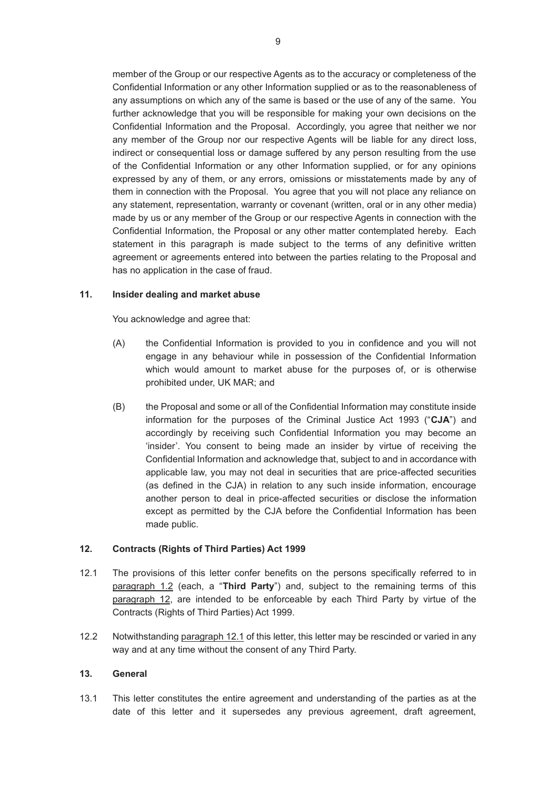member of the Group or our respective Agents as to the accuracy or completeness of the Confidential Information or any other Information supplied or as to the reasonableness of any assumptions on which any of the same is based or the use of any of the same. You further acknowledge that you will be responsible for making your own decisions on the Confidential Information and the Proposal. Accordingly, you agree that neither we nor any member of the Group nor our respective Agents will be liable for any direct loss, indirect or consequential loss or damage suffered by any person resulting from the use of the Confidential Information or any other Information supplied, or for any opinions expressed by any of them, or any errors, omissions or misstatements made by any of them in connection with the Proposal. You agree that you will not place any reliance on any statement, representation, warranty or covenant (written, oral or in any other media) made by us or any member of the Group or our respective Agents in connection with the Confidential Information, the Proposal or any other matter contemplated hereby. Each statement in this paragraph is made subject to the terms of any definitive written agreement or agreements entered into between the parties relating to the Proposal and has no application in the case of fraud.

## **11. Insider dealing and market abuse**

You acknowledge and agree that:

- (A) the Confidential Information is provided to you in confidence and you will not engage in any behaviour while in possession of the Confidential Information which would amount to market abuse for the purposes of, or is otherwise prohibited under, UK MAR; and
- (B) the Proposal and some or all of the Confidential Information may constitute inside information for the purposes of the Criminal Justice Act 1993 ("**CJA**") and accordingly by receiving such Confidential Information you may become an 'insider'. You consent to being made an insider by virtue of receiving the Confidential Information and acknowledge that, subject to and in accordance with applicable law, you may not deal in securities that are price-affected securities (as defined in the CJA) in relation to any such inside information, encourage another person to deal in price-affected securities or disclose the information except as permitted by the CJA before the Confidential Information has been made public.

## **12. Contracts (Rights of Third Parties) Act 1999**

- 12.1 The provisions of this letter confer benefits on the persons specifically referred to in paragraph 1.2 (each, a "**Third Party**") and, subject to the remaining terms of this paragraph 12, are intended to be enforceable by each Third Party by virtue of the Contracts (Rights of Third Parties) Act 1999.
- 12.2 Notwithstanding paragraph 12.1 of this letter, this letter may be rescinded or varied in any way and at any time without the consent of any Third Party.

#### **13. General**

13.1 This letter constitutes the entire agreement and understanding of the parties as at the date of this letter and it supersedes any previous agreement, draft agreement,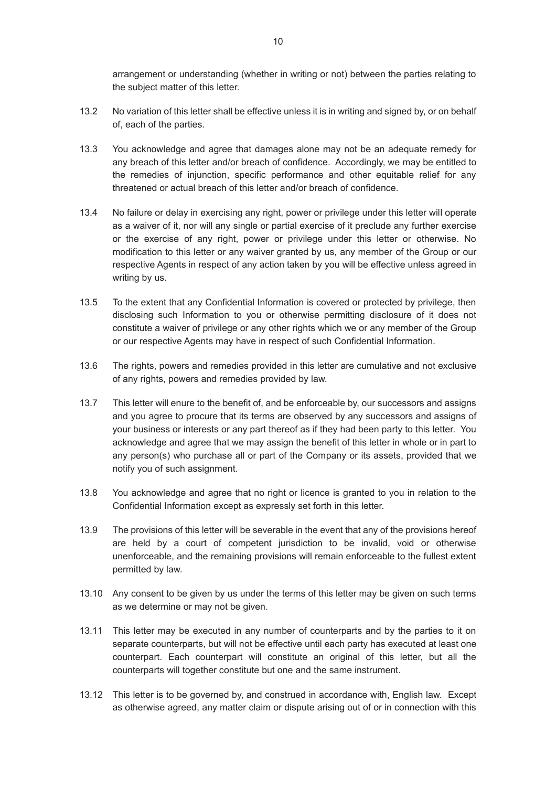arrangement or understanding (whether in writing or not) between the parties relating to the subject matter of this letter.

- 13.2 No variation of this letter shall be effective unless it is in writing and signed by, or on behalf of, each of the parties.
- 13.3 You acknowledge and agree that damages alone may not be an adequate remedy for any breach of this letter and/or breach of confidence. Accordingly, we may be entitled to the remedies of injunction, specific performance and other equitable relief for any threatened or actual breach of this letter and/or breach of confidence.
- 13.4 No failure or delay in exercising any right, power or privilege under this letter will operate as a waiver of it, nor will any single or partial exercise of it preclude any further exercise or the exercise of any right, power or privilege under this letter or otherwise. No modification to this letter or any waiver granted by us, any member of the Group or our respective Agents in respect of any action taken by you will be effective unless agreed in writing by us.
- 13.5 To the extent that any Confidential Information is covered or protected by privilege, then disclosing such Information to you or otherwise permitting disclosure of it does not constitute a waiver of privilege or any other rights which we or any member of the Group or our respective Agents may have in respect of such Confidential Information.
- 13.6 The rights, powers and remedies provided in this letter are cumulative and not exclusive of any rights, powers and remedies provided by law.
- 13.7 This letter will enure to the benefit of, and be enforceable by, our successors and assigns and you agree to procure that its terms are observed by any successors and assigns of your business or interests or any part thereof as if they had been party to this letter. You acknowledge and agree that we may assign the benefit of this letter in whole or in part to any person(s) who purchase all or part of the Company or its assets, provided that we notify you of such assignment.
- 13.8 You acknowledge and agree that no right or licence is granted to you in relation to the Confidential Information except as expressly set forth in this letter.
- 13.9 The provisions of this letter will be severable in the event that any of the provisions hereof are held by a court of competent jurisdiction to be invalid, void or otherwise unenforceable, and the remaining provisions will remain enforceable to the fullest extent permitted by law.
- 13.10 Any consent to be given by us under the terms of this letter may be given on such terms as we determine or may not be given.
- 13.11 This letter may be executed in any number of counterparts and by the parties to it on separate counterparts, but will not be effective until each party has executed at least one counterpart. Each counterpart will constitute an original of this letter, but all the counterparts will together constitute but one and the same instrument.
- 13.12 This letter is to be governed by, and construed in accordance with, English law. Except as otherwise agreed, any matter claim or dispute arising out of or in connection with this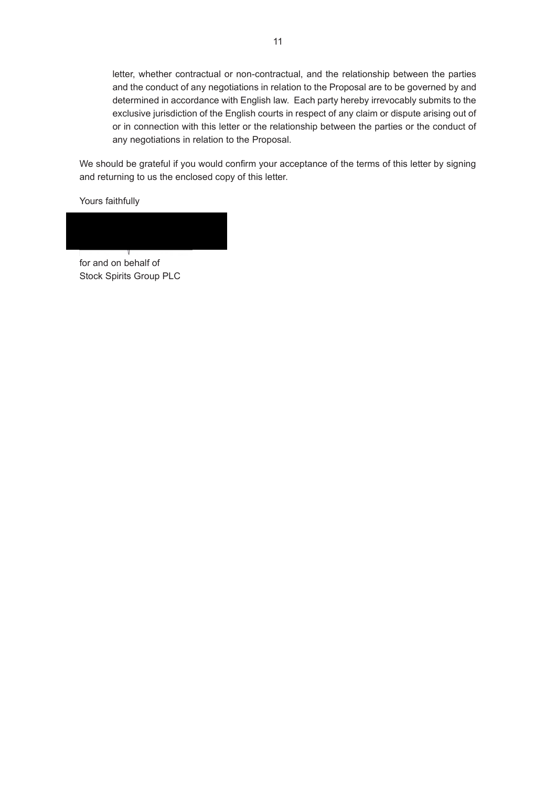letter, whether contractual or non-contractual, and the relationship between the parties and the conduct of any negotiations in relation to the Proposal are to be governed by and determined in accordance with English law. Each party hereby irrevocably submits to the exclusive jurisdiction of the English courts in respect of any claim or dispute arising out of or in connection with this letter or the relationship between the parties or the conduct of any negotiations in relation to the Proposal.

We should be grateful if you would confirm your acceptance of the terms of this letter by signing and returning to us the enclosed copy of this letter.

Yours faithfully

for and on behalf of Stock Spirits Group PLC